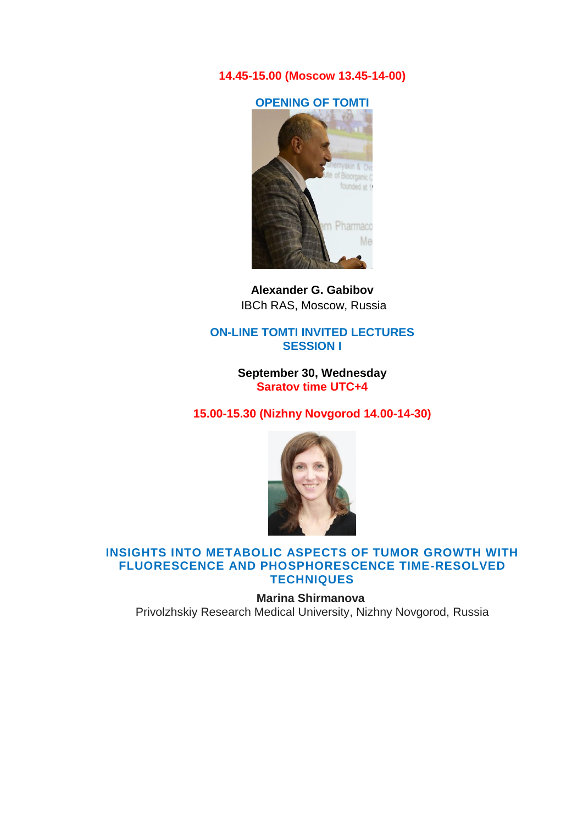**14.45-15.00 (Moscow 13.45-14-00)**

**OPENING OF TOMTI**



**[Alexander G. Gabibov](http://www.ibch.ru/en/about/history/personalia/18)**  IBCh RAS, Moscow, Russia

#### **ON-LINE TOMTI INVITED LECTURES SESSION I**

**September 30, Wednesday Saratov time UTC+4**

**15.00-15.30 (Nizhny Novgorod 14.00-14-30)** 



#### **INSIGHTS INTO METABOLIC ASPECTS OF TUMOR GROWTH WITH FLUORESCENCE AND PHOSPHORESCENCE TIME-RESOLVED TECHNIQUES**

**Marina Shirmanova** Privolzhskiy Research Medical University, Nizhny Novgorod, Russia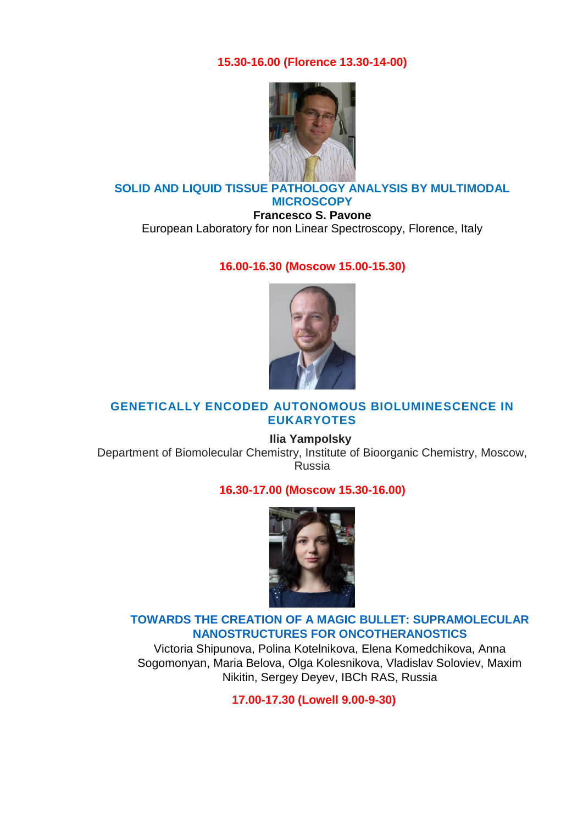**15.30-16.00 (Florence 13.30-14-00)** 



## **SOLID AND LIQUID TISSUE PATHOLOGY ANALYSIS BY MULTIMODAL MICROSCOPY**

**Francesco S. Pavone** European Laboratory for non Linear Spectroscopy, Florence, Italy

### **16.00-16.30 (Moscow 15.00-15.30)**



## **GENETICALLY ENCODED AUTONOMOUS BIOLUMINESCENCE IN EUKARYOTES**

**Ilia Yampolsky** Department of Biomolecular Chemistry, Institute of Bioorganic Chemistry, Moscow, Russia

#### **16.30-17.00 (Moscow 15.30-16.00)**



# **[TOWARDS THE CREATION OF A MAGIC BULLET: SUPRAMOLECULAR](https://sfmconference.org/sfm/20/workshops/towards-optical-and-multimodality-translational-imaging/preliminary/542/)  [NANOSTRUCTURES FOR ONCOTHERANOSTICS](https://sfmconference.org/sfm/20/workshops/towards-optical-and-multimodality-translational-imaging/preliminary/542/)**

Victoria Shipunova, Polina Kotelnikova, Elena Komedchikova, Anna Sogomonyan, Maria Belova, Olga Kolesnikova, Vladislav Soloviev, Maxim Nikitin, Sergey Deyev, IBCh RAS, Russia

**17.00-17.30 (Lowell 9.00-9-30)**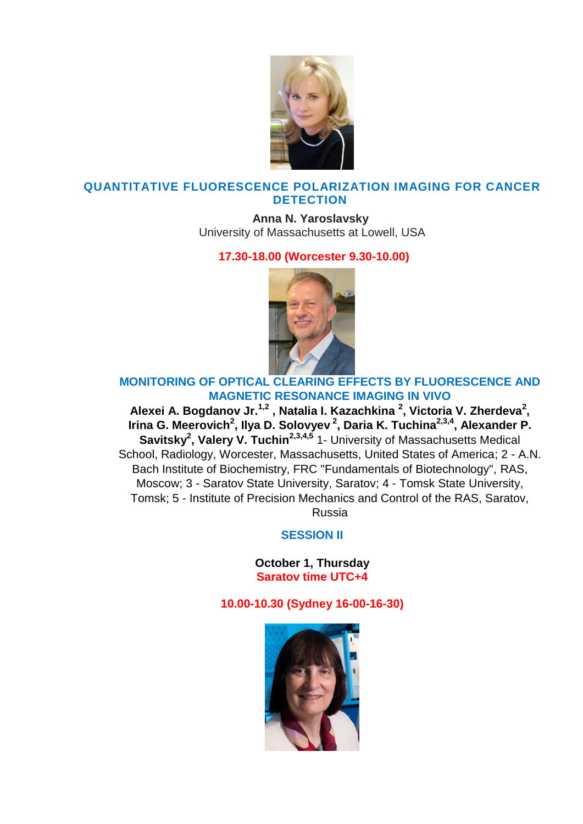

## **QUANTITATIVE FLUORESCENCE POLARIZATION IMAGING FOR CANCER DETECTION**

**Anna N. Yaroslavsky** University of Massachusetts at Lowell, USA

## **17.30-18.00 (Worcester 9.30-10.00)**



# **[MONITORING OF OPTICAL CLEARING](https://sfmconference.org/sfm/20/workshops/towards-optical-and-multimodality-translational-imaging/preliminary/525/) EFFECTS BY FLUORESCENCE AND [MAGNETIC RESONANCE IMAGING IN VIVO](https://sfmconference.org/sfm/20/workshops/towards-optical-and-multimodality-translational-imaging/preliminary/525/)**

**Alexei A. Bogdanov Jr.1,2 , Natalia I. Kazachkina <sup>2</sup> , Victoria V. Zherdeva<sup>2</sup> , Irina G. Meerovich<sup>2</sup> , Ilya D. Solovyev <sup>2</sup> , Daria K. Tuchina2,3,4, Alexander P. Savitsky<sup>2</sup> , Valery V. Tuchin2,3,4,5** 1- University of Massachusetts Medical School, Radiology, Worcester, Massachusetts, United States of America; 2 - A.N. Bach Institute of Biochemistry, FRC "Fundamentals of Biotechnology", RAS, Moscow; 3 - Saratov State University, Saratov; 4 - Tomsk State University, Tomsk; 5 - Institute of Precision Mechanics and Control of the RAS, Saratov, Russia

# **SESSION II**

**October 1, Thursday Saratov time UTC+4**

# **10.00-10.30 (Sydney 16-00-16-30)**